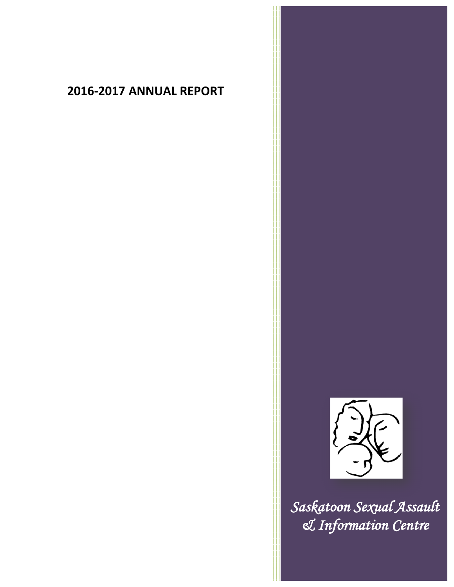# **2016-2017 ANNUAL REPORT**



*Saskatoon Sexual Assault & Information Centre*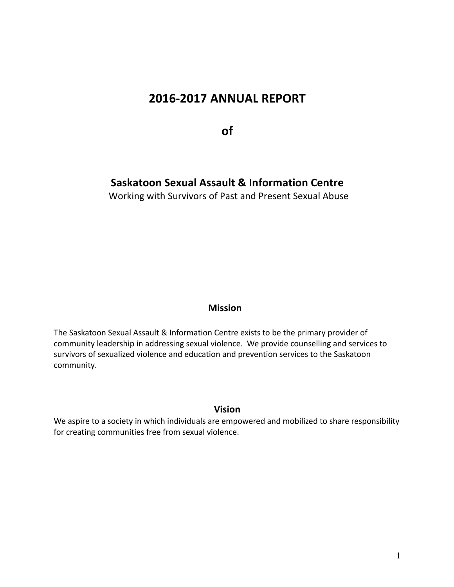## **2016-2017 ANNUAL REPORT**

**of**

## **Saskatoon Sexual Assault & Information Centre**

Working with Survivors of Past and Present Sexual Abuse

## **Mission**

The Saskatoon Sexual Assault & Information Centre exists to be the primary provider of community leadership in addressing sexual violence. We provide counselling and services to survivors of sexualized violence and education and prevention services to the Saskatoon community.

## **Vision**

We aspire to a society in which individuals are empowered and mobilized to share responsibility for creating communities free from sexual violence.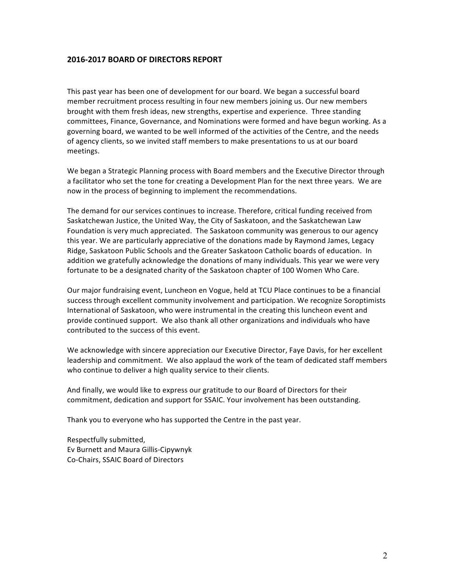## **2016-2017 BOARD OF DIRECTORS REPORT**

This past year has been one of development for our board. We began a successful board member recruitment process resulting in four new members joining us. Our new members brought with them fresh ideas, new strengths, expertise and experience. Three standing committees, Finance, Governance, and Nominations were formed and have begun working. As a governing board, we wanted to be well informed of the activities of the Centre, and the needs of agency clients, so we invited staff members to make presentations to us at our board meetings.

We began a Strategic Planning process with Board members and the Executive Director through a facilitator who set the tone for creating a Development Plan for the next three years. We are now in the process of beginning to implement the recommendations.

The demand for our services continues to increase. Therefore, critical funding received from Saskatchewan Justice, the United Way, the City of Saskatoon, and the Saskatchewan Law Foundation is very much appreciated. The Saskatoon community was generous to our agency this year. We are particularly appreciative of the donations made by Raymond James, Legacy Ridge, Saskatoon Public Schools and the Greater Saskatoon Catholic boards of education. In addition we gratefully acknowledge the donations of many individuals. This year we were very fortunate to be a designated charity of the Saskatoon chapter of 100 Women Who Care.

Our major fundraising event, Luncheon en Vogue, held at TCU Place continues to be a financial success through excellent community involvement and participation. We recognize Soroptimists International of Saskatoon, who were instrumental in the creating this luncheon event and provide continued support. We also thank all other organizations and individuals who have contributed to the success of this event.

We acknowledge with sincere appreciation our Executive Director, Faye Davis, for her excellent leadership and commitment. We also applaud the work of the team of dedicated staff members who continue to deliver a high quality service to their clients.

And finally, we would like to express our gratitude to our Board of Directors for their commitment, dedication and support for SSAIC. Your involvement has been outstanding.

Thank you to everyone who has supported the Centre in the past year.

Respectfully submitted, Ev Burnett and Maura Gillis-Cipywnyk Co-Chairs, SSAIC Board of Directors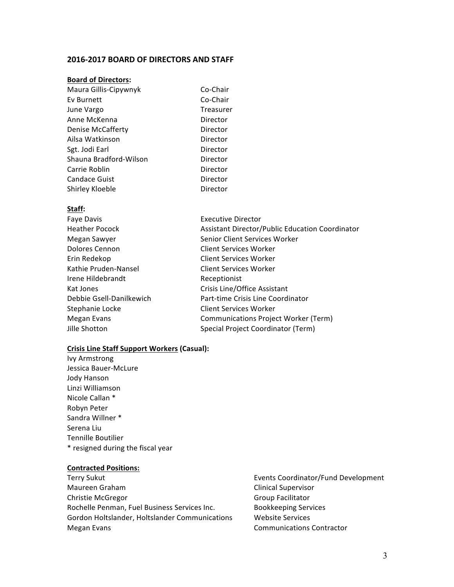#### **2016-2017 BOARD OF DIRECTORS AND STAFF**

#### **Board of Directors:**

| Maura Gillis-Cipywnyk  | Co-Chair  |
|------------------------|-----------|
| Ev Burnett             | Co-Chair  |
| June Vargo             | Treasurer |
| Anne McKenna           | Director  |
| Denise McCafferty      | Director  |
| Ailsa Watkinson        | Director  |
| Sgt. Jodi Earl         | Director  |
| Shauna Bradford-Wilson | Director  |
| Carrie Roblin          | Director  |
| Candace Guist          | Director  |
| Shirley Kloeble        | Director  |
|                        |           |

#### **Staff:**

| Faye Davis               | <b>Executive Director</b>                       |
|--------------------------|-------------------------------------------------|
| <b>Heather Pocock</b>    | Assistant Director/Public Education Coordinator |
| Megan Sawyer             | Senior Client Services Worker                   |
| Dolores Cennon           | <b>Client Services Worker</b>                   |
| Erin Redekop             | <b>Client Services Worker</b>                   |
| Kathie Pruden-Nansel     | <b>Client Services Worker</b>                   |
| Irene Hildebrandt        | Receptionist                                    |
| Kat Jones                | Crisis Line/Office Assistant                    |
| Debbie Gsell-Danilkewich | Part-time Crisis Line Coordinator               |
| Stephanie Locke          | <b>Client Services Worker</b>                   |
| Megan Evans              | Communications Project Worker (Term)            |
| Jille Shotton            | Special Project Coordinator (Term)              |
|                          |                                                 |

#### **Crisis Line Staff Support Workers (Casual):**

Ivy Armstrong Jessica Bauer-McLure Jody Hanson Linzi Williamson Nicole Callan<sup>\*</sup> Robyn Peter Sandra Willner \* Serena Liu Tennille Boutilier \* resigned during the fiscal year

#### **Contracted Positions:**

Terry Sukut **Events Coordinator/Fund Development** Maureen Graham and Clinical Supervisor Christie McGregor Christian Christian Christian Christian Christian Christian Christian Christian Christian Christian Christian Christian Christian Christian Christian Christian Christian Christian Christian Christian Chri Rochelle Penman, Fuel Business Services Inc. Bookkeeping Services Gordon Holtslander, Holtslander Communications Website Services Megan Evans **Communications** Contractor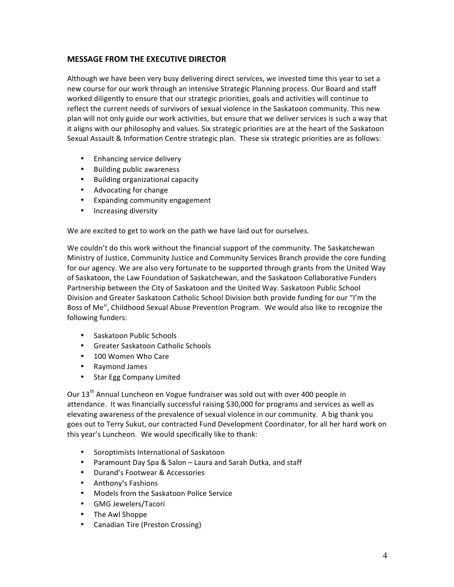## **MESSAGE FROM THE EXECUTIVE DIRECTOR**

Although we have been very busy delivering direct services, we invested time this year to set a new course for our work through an intensive Strategic Planning process. Our Board and staff worked diligently to ensure that our strategic priorities, goals and activities will continue to reflect the current needs of survivors of sexual violence in the Saskatoon community. This new plan will not only guide our work activities, but ensure that we deliver services is such a way that it aligns with our philosophy and values. Six strategic priorities are at the heart of the Saskatoon Sexual Assault & Information Centre strategic plan. These six strategic priorities are as follows:

- Enhancing service delivery
- Building public awareness
- Building organizational capacity
- Advocating for change
- Expanding community engagement
- Increasing diversity

We are excited to get to work on the path we have laid out for ourselves.

We couldn't do this work without the financial support of the community. The Saskatchewan Ministry of Justice, Community Justice and Community Services Branch provide the core funding for our agency. We are also very fortunate to be supported through grants from the United Way of Saskatoon, the Law Foundation of Saskatchewan, and the Saskatoon Collaborative Funders Partnership between the City of Saskatoon and the United Way. Saskatoon Public School Division and Greater Saskatoon Catholic School Division both provide funding for our "I'm the Boss of Me", Childhood Sexual Abuse Prevention Program. We would also like to recognize the following funders:

- Saskatoon Public Schools
- Greater Saskatoon Catholic Schools
- 100 Women Who Care
- Raymond James
- Star Egg Company Limited

Our 13<sup>th</sup> Annual Luncheon en Vogue fundraiser was sold out with over 400 people in attendance. It was financially successful raising \$30,000 for programs and services as well as elevating awareness of the prevalence of sexual violence in our community. A big thank you goes out to Terry Sukut, our contracted Fund Development Coordinator, for all her hard work on this year's Luncheon. We would specifically like to thank:

- Soroptimists International of Saskatoon
- Paramount Day Spa & Salon Laura and Sarah Dutka, and staff
- Durand's Footwear & Accessories
- Anthony's Fashions
- Models from the Saskatoon Police Service
- GMG Jewelers/Tacori
- The Awl Shoppe
- Canadian Tire (Preston Crossing)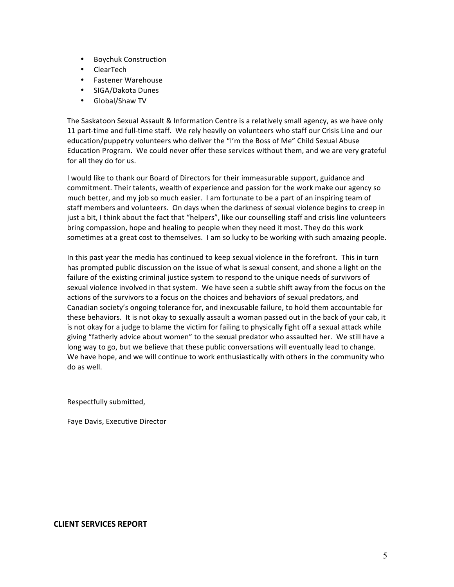- Boychuk Construction
- ClearTech
- Fastener Warehouse
- SIGA/Dakota Dunes
- Global/Shaw TV

The Saskatoon Sexual Assault & Information Centre is a relatively small agency, as we have only 11 part-time and full-time staff. We rely heavily on volunteers who staff our Crisis Line and our education/puppetry volunteers who deliver the "I'm the Boss of Me" Child Sexual Abuse Education Program. We could never offer these services without them, and we are very grateful for all they do for us.

I would like to thank our Board of Directors for their immeasurable support, guidance and commitment. Their talents, wealth of experience and passion for the work make our agency so much better, and my job so much easier. I am fortunate to be a part of an inspiring team of staff members and volunteers. On days when the darkness of sexual violence begins to creep in just a bit, I think about the fact that "helpers", like our counselling staff and crisis line volunteers bring compassion, hope and healing to people when they need it most. They do this work sometimes at a great cost to themselves. I am so lucky to be working with such amazing people.

In this past year the media has continued to keep sexual violence in the forefront. This in turn has prompted public discussion on the issue of what is sexual consent, and shone a light on the failure of the existing criminal justice system to respond to the unique needs of survivors of sexual violence involved in that system. We have seen a subtle shift away from the focus on the actions of the survivors to a focus on the choices and behaviors of sexual predators, and Canadian society's ongoing tolerance for, and inexcusable failure, to hold them accountable for these behaviors. It is not okay to sexually assault a woman passed out in the back of your cab, it is not okay for a judge to blame the victim for failing to physically fight off a sexual attack while giving "fatherly advice about women" to the sexual predator who assaulted her. We still have a long way to go, but we believe that these public conversations will eventually lead to change. We have hope, and we will continue to work enthusiastically with others in the community who do as well.

Respectfully submitted,

Faye Davis, Executive Director

## **CLIENT SERVICES REPORT**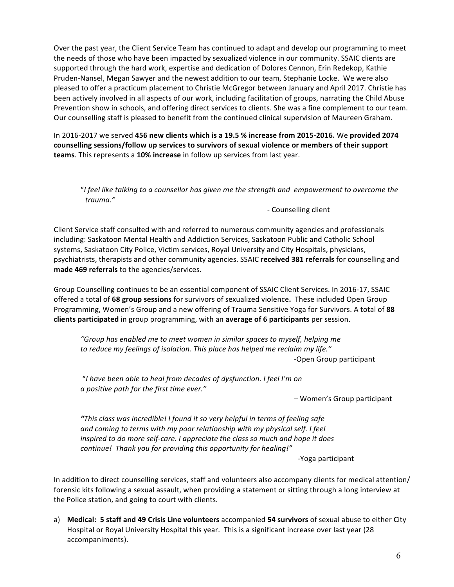Over the past year, the Client Service Team has continued to adapt and develop our programming to meet the needs of those who have been impacted by sexualized violence in our community. SSAIC clients are supported through the hard work, expertise and dedication of Dolores Cennon, Erin Redekop, Kathie Pruden-Nansel, Megan Sawyer and the newest addition to our team, Stephanie Locke. We were also pleased to offer a practicum placement to Christie McGregor between January and April 2017. Christie has been actively involved in all aspects of our work, including facilitation of groups, narrating the Child Abuse Prevention show in schools, and offering direct services to clients. She was a fine complement to our team. Our counselling staff is pleased to benefit from the continued clinical supervision of Maureen Graham.

In 2016-2017 we served 456 new clients which is a 19.5 % increase from 2015-2016. We provided 2074 counselling sessions/follow up services to survivors of sexual violence or members of their support **teams**. This represents a 10% increase in follow up services from last year.

"I feel like talking to a counsellor has given me the strength and empowerment to overcome the  *trauma."* 

- Counselling client

Client Service staff consulted with and referred to numerous community agencies and professionals including: Saskatoon Mental Health and Addiction Services, Saskatoon Public and Catholic School systems, Saskatoon City Police, Victim services, Royal University and City Hospitals, physicians, psychiatrists, therapists and other community agencies. SSAIC received 381 referrals for counselling and made 469 referrals to the agencies/services.

Group Counselling continues to be an essential component of SSAIC Client Services. In 2016-17, SSAIC offered a total of 68 group sessions for survivors of sexualized violence. These included Open Group Programming, Women's Group and a new offering of Trauma Sensitive Yoga for Survivors. A total of 88 **clients participated** in group programming, with an **average of 6 participants** per session.

*"Group* has enabled me to meet women in similar spaces to myself, helping me to reduce my feelings of isolation. This place has helped me reclaim my life." -Open Group participant

"I have been able to heal from decades of dysfunction. I feel I'm on *a* positive path for the first time ever."

– Women's Group participant

**"**This class was incredible! I found it so very helpful in terms of feeling safe *and* coming to terms with my poor relationship with my physical self. I feel *inspired to do more self-care. I appreciate the class so much and hope it does continue! Thank you for providing this opportunity for healing!"*

 -Yoga participant

In addition to direct counselling services, staff and volunteers also accompany clients for medical attention/ forensic kits following a sexual assault, when providing a statement or sitting through a long interview at the Police station, and going to court with clients.

a) Medical: 5 staff and 49 Crisis Line volunteers accompanied 54 survivors of sexual abuse to either City Hospital or Royal University Hospital this year. This is a significant increase over last year (28 accompaniments).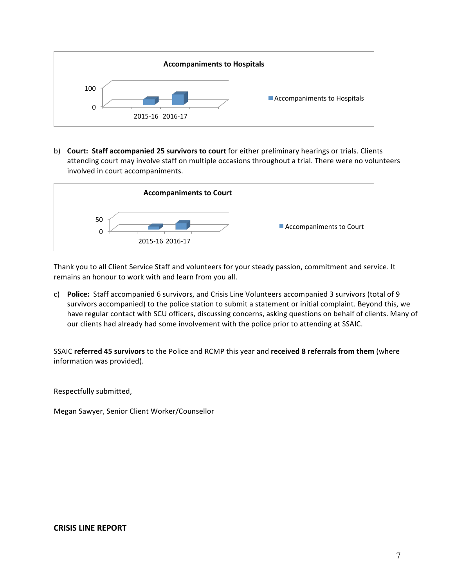

b) **Court: Staff accompanied 25 survivors to court** for either preliminary hearings or trials. Clients attending court may involve staff on multiple occasions throughout a trial. There were no volunteers involved in court accompaniments.



Thank you to all Client Service Staff and volunteers for your steady passion, commitment and service. It remains an honour to work with and learn from you all.

c) **Police:** Staff accompanied 6 survivors, and Crisis Line Volunteers accompanied 3 survivors (total of 9 survivors accompanied) to the police station to submit a statement or initial complaint. Beyond this, we have regular contact with SCU officers, discussing concerns, asking questions on behalf of clients. Many of our clients had already had some involvement with the police prior to attending at SSAIC.

SSAIC referred 45 survivors to the Police and RCMP this year and received 8 referrals from them (where information was provided).

Respectfully submitted,

Megan Sawyer, Senior Client Worker/Counsellor

## **CRISIS LINE REPORT**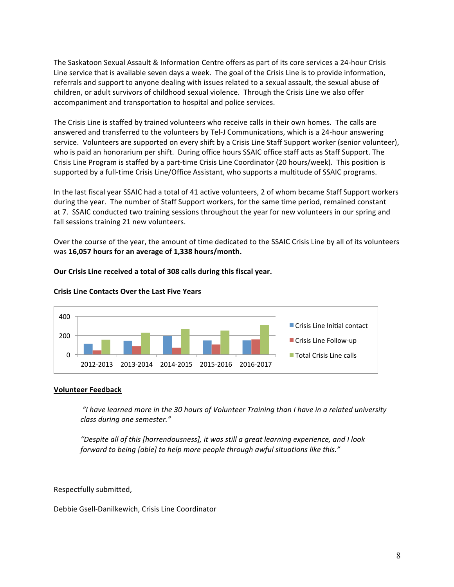The Saskatoon Sexual Assault & Information Centre offers as part of its core services a 24-hour Crisis Line service that is available seven days a week. The goal of the Crisis Line is to provide information, referrals and support to anyone dealing with issues related to a sexual assault, the sexual abuse of children, or adult survivors of childhood sexual violence. Through the Crisis Line we also offer accompaniment and transportation to hospital and police services.

The Crisis Line is staffed by trained volunteers who receive calls in their own homes. The calls are answered and transferred to the volunteers by Tel-J Communications, which is a 24-hour answering service. Volunteers are supported on every shift by a Crisis Line Staff Support worker (senior volunteer), who is paid an honorarium per shift. During office hours SSAIC office staff acts as Staff Support. The Crisis Line Program is staffed by a part-time Crisis Line Coordinator (20 hours/week). This position is supported by a full-time Crisis Line/Office Assistant, who supports a multitude of SSAIC programs.

In the last fiscal year SSAIC had a total of 41 active volunteers, 2 of whom became Staff Support workers during the year. The number of Staff Support workers, for the same time period, remained constant at 7. SSAIC conducted two training sessions throughout the year for new volunteers in our spring and fall sessions training 21 new volunteers.

Over the course of the year, the amount of time dedicated to the SSAIC Crisis Line by all of its volunteers was 16,057 hours for an average of 1,338 hours/month.

#### Our Crisis Line received a total of 308 calls during this fiscal year.



## **Crisis Line Contacts Over the Last Five Years**

#### **Volunteer Feedback**

*"I have learned more in the 30 hours of Volunteer Training than I have in a related university class during one semester."*

"Despite all of this [horrendousness], it was still a great learning experience, and I look forward to being [able] to help more people through awful situations like this."

Respectfully submitted,

Debbie Gsell-Danilkewich, Crisis Line Coordinator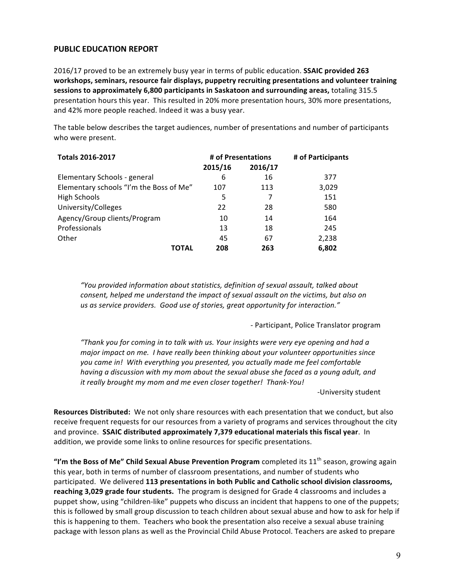## **PUBLIC EDUCATION REPORT**

2016/17 proved to be an extremely busy year in terms of public education. **SSAIC provided 263** workshops, seminars, resource fair displays, puppetry recruiting presentations and volunteer training sessions to approximately 6,800 participants in Saskatoon and surrounding areas, totaling 315.5 presentation hours this year. This resulted in 20% more presentation hours, 30% more presentations, and 42% more people reached. Indeed it was a busy year.

The table below describes the target audiences, number of presentations and number of participants who were present.

| <b>Totals 2016-2017</b>                 | # of Presentations |         | # of Participants |  |
|-----------------------------------------|--------------------|---------|-------------------|--|
|                                         | 2015/16            | 2016/17 |                   |  |
| Elementary Schools - general            | 6                  | 16      | 377               |  |
| Elementary schools "I'm the Boss of Me" | 107                | 113     | 3,029             |  |
| <b>High Schools</b>                     | 5                  | 7       | 151               |  |
| University/Colleges                     | 22                 | 28      | 580               |  |
| Agency/Group clients/Program            | 10                 | 14      | 164               |  |
| Professionals                           | 13                 | 18      | 245               |  |
| Other                                   | 45                 | 67      | 2,238             |  |
| ΤΩΤΑΙ                                   | 208                | 263     | 6,802             |  |

*"You provided information about statistics, definition of sexual assault, talked about consent, helped me understand the impact of sexual assault on the victims, but also on* us as service providers. Good use of stories, great opportunity for interaction."

*-* Participant, Police Translator program

*"Thank you for coming in to talk with us. Your insights were very eye opening and had a major* impact on me. I have really been thinking about your volunteer opportunities since you came in! With everything you presented, you actually made me feel comfortable *having a discussion with my mom about the sexual abuse she faced as a young adult, and it really brought my mom and me even closer together! Thank-You!* 

-University student

**Resources Distributed:** We not only share resources with each presentation that we conduct, but also receive frequent requests for our resources from a variety of programs and services throughout the city and province. SSAIC distributed approximately 7,379 educational materials this fiscal year. In addition, we provide some links to online resources for specific presentations.

**"I'm the Boss of Me" Child Sexual Abuse Prevention Program completed its 11<sup>th</sup> season, growing again** this year, both in terms of number of classroom presentations, and number of students who participated. We delivered 113 presentations in both Public and Catholic school division classrooms, **reaching 3,029 grade four students.** The program is designed for Grade 4 classrooms and includes a puppet show, using "children-like" puppets who discuss an incident that happens to one of the puppets; this is followed by small group discussion to teach children about sexual abuse and how to ask for help if this is happening to them. Teachers who book the presentation also receive a sexual abuse training package with lesson plans as well as the Provincial Child Abuse Protocol. Teachers are asked to prepare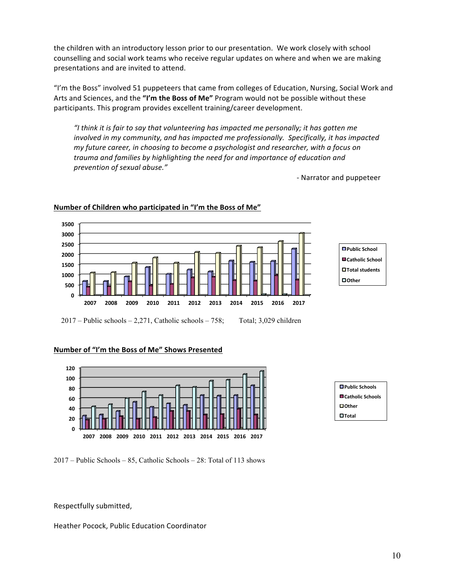the children with an introductory lesson prior to our presentation. We work closely with school counselling and social work teams who receive regular updates on where and when we are making presentations and are invited to attend.

"I'm the Boss" involved 51 puppeteers that came from colleges of Education, Nursing, Social Work and Arts and Sciences, and the "I'm the Boss of Me" Program would not be possible without these participants. This program provides excellent training/career development.

"I think it is fair to say that volunteering has impacted me personally; it has gotten me *involved* in my community, and has impacted me professionally. Specifically, it has impacted *my* future career, in choosing to become a psychologist and researcher, with a focus on trauma and families by highlighting the need for and importance of education and *prevention of sexual abuse."*

- Narrator and puppeteer



#### **Number of Children who participated in "I'm the Boss of Me"**

**Public School Catholic School Total students** □ Other

 $2017$  – Public schools – 2,271, Catholic schools – 758; Total; 3,029 children

#### **Number of "I'm the Boss of Me" Shows Presented**



| <b>□</b> Public Schools  |
|--------------------------|
| <b>■Catholic Schools</b> |
| $\Box$ Other             |
| $\Box$ Total             |

2017 – Public Schools – 85, Catholic Schools – 28: Total of 113 shows

Respectfully submitted,

Heather Pocock, Public Education Coordinator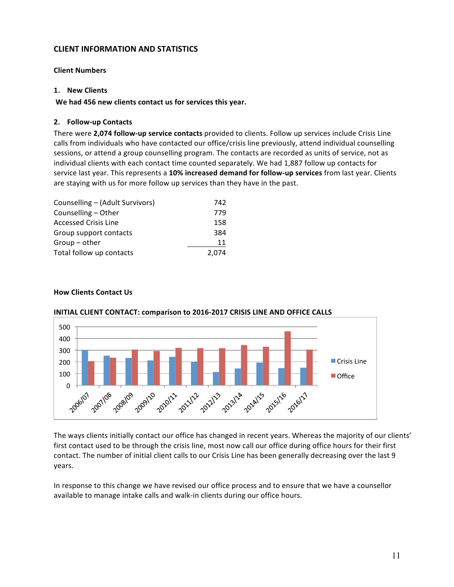## **CLIENT INFORMATION AND STATISTICS**

## **Client Numbers**

#### **1. New Clients**

We had 456 new clients contact us for services this year.

## **2. Follow-up Contacts**

There were 2,074 **follow-up service contacts** provided to clients. Follow up services include Crisis Line calls from individuals who have contacted our office/crisis line previously, attend individual counselling sessions, or attend a group counselling program. The contacts are recorded as units of service, not as individual clients with each contact time counted separately. We had 1,887 follow up contacts for service last year. This represents a 10% increased demand for follow-up services from last year. Clients are staying with us for more follow up services than they have in the past.

| Counselling - (Adult Survivors) | 742   |
|---------------------------------|-------|
| Counselling - Other             | 779   |
| <b>Accessed Crisis Line</b>     | 158   |
| Group support contacts          | 384   |
| $Group - other$                 | 11    |
| Total follow up contacts        | 2.074 |

### **How Clients Contact Us**



#### **INITIAL CLIENT CONTACT: comparison to 2016-2017 CRISIS LINE AND OFFICE CALLS**

The ways clients initially contact our office has changed in recent years. Whereas the majority of our clients' first contact used to be through the crisis line, most now call our office during office hours for their first contact. The number of initial client calls to our Crisis Line has been generally decreasing over the last 9 years.

In response to this change we have revised our office process and to ensure that we have a counsellor available to manage intake calls and walk-in clients during our office hours.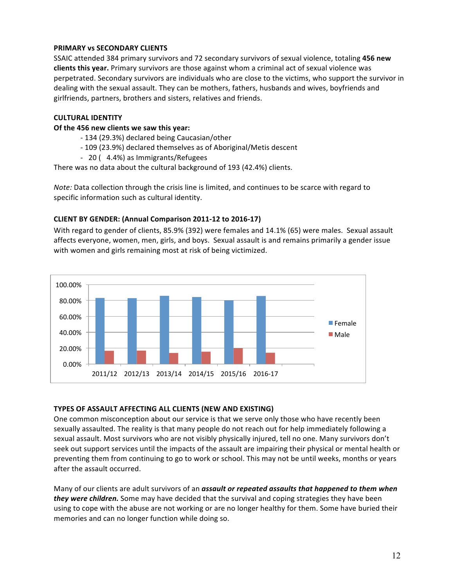## **PRIMARY vs SECONDARY CLIENTS**

SSAIC attended 384 primary survivors and 72 secondary survivors of sexual violence, totaling 456 new **clients this year.** Primary survivors are those against whom a criminal act of sexual violence was perpetrated. Secondary survivors are individuals who are close to the victims, who support the survivor in dealing with the sexual assault. They can be mothers, fathers, husbands and wives, boyfriends and girlfriends, partners, brothers and sisters, relatives and friends.

## **CULTURAL IDENTITY**

## **Of the 456 new clients we saw this year:**

- 134 (29.3%) declared being Caucasian/other
- 109 (23.9%) declared themselves as of Aboriginal/Metis descent
- 20 ( 4.4%) as Immigrants/Refugees

There was no data about the cultural background of 193 (42.4%) clients.

*Note:* Data collection through the crisis line is limited, and continues to be scarce with regard to specific information such as cultural identity.

## **CLIENT BY GENDER: (Annual Comparison 2011-12 to 2016-17)**

With regard to gender of clients, 85.9% (392) were females and 14.1% (65) were males. Sexual assault affects everyone, women, men, girls, and boys. Sexual assault is and remains primarily a gender issue with women and girls remaining most at risk of being victimized.



## **TYPES OF ASSAULT AFFECTING ALL CLIENTS (NEW AND EXISTING)**

One common misconception about our service is that we serve only those who have recently been sexually assaulted. The reality is that many people do not reach out for help immediately following a sexual assault. Most survivors who are not visibly physically injured, tell no one. Many survivors don't seek out support services until the impacts of the assault are impairing their physical or mental health or preventing them from continuing to go to work or school. This may not be until weeks, months or years after the assault occurred.

Many of our clients are adult survivors of an **assault or repeated assaults that happened to them when** *they were children.* Some may have decided that the survival and coping strategies they have been using to cope with the abuse are not working or are no longer healthy for them. Some have buried their memories and can no longer function while doing so.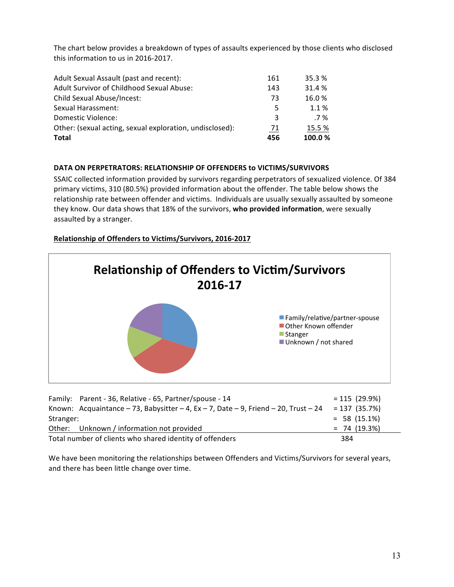The chart below provides a breakdown of types of assaults experienced by those clients who disclosed this information to us in 2016-2017.

| Adult Sexual Assault (past and recent):                  | 161 | 35.3 % |
|----------------------------------------------------------|-----|--------|
| Adult Survivor of Childhood Sexual Abuse:                | 143 | 31.4 % |
| Child Sexual Abuse/Incest:                               | 73  | 16.0%  |
| Sexual Harassment:                                       | 5   | 1.1%   |
| Domestic Violence:                                       | 3   | $.7\%$ |
| Other: (sexual acting, sexual exploration, undisclosed): | -71 | 15.5 % |
| Total                                                    | 456 | 100.0% |

## **DATA ON PERPETRATORS: RELATIONSHIP OF OFFENDERS to VICTIMS/SURVIVORS**

SSAIC collected information provided by survivors regarding perpetrators of sexualized violence. Of 384 primary victims, 310 (80.5%) provided information about the offender. The table below shows the relationship rate between offender and victims. Individuals are usually sexually assaulted by someone they know. Our data shows that 18% of the survivors, who provided information, were sexually assaulted by a stranger.

## **Relationship of Offenders to Victims/Survivors, 2016-2017**



| Family: Parent - 36, Relative - 65, Partner/spouse - 14                             | $= 115(29.9\%)$ |
|-------------------------------------------------------------------------------------|-----------------|
| Known: Acquaintance - 73, Babysitter - 4, Ex - 7, Date - 9, Friend - 20, Trust - 24 | $= 137(35.7%)$  |
| Stranger:                                                                           | $= 58(15.1\%)$  |
| Other: Unknown / information not provided                                           | $= 74(19.3%)$   |
| Total number of clients who shared identity of offenders                            | 384             |

We have been monitoring the relationships between Offenders and Victims/Survivors for several years, and there has been little change over time.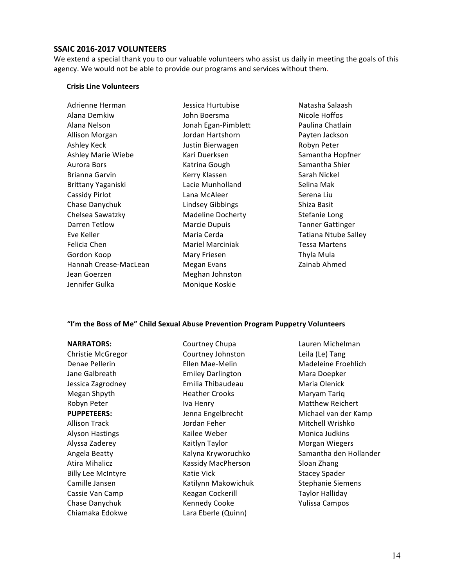#### **SSAIC 2016-2017 VOLUNTEERS**

We extend a special thank you to our valuable volunteers who assist us daily in meeting the goals of this agency. We would not be able to provide our programs and services without them.

#### **Crisis Line Volunteers**

| Adrienne Herman       |
|-----------------------|
| Alana Demkiw          |
| Alana Nelson          |
| Allison Morgan        |
| Ashley Keck           |
| Ashley Marie Wiebe    |
| <b>Aurora Bors</b>    |
| Brianna Garvin        |
| Brittany Yaganiski    |
| Cassidy Pirlot        |
| Chase Danychuk        |
| Chelsea Sawatzky      |
| Darren Tetlow         |
| Eve Keller            |
| Felicia Chen          |
| Gordon Koop           |
| Hannah Crease-MacLean |
| Jean Goerzen          |
| Jennifer Gulka        |

Jessica Hurtubise John Boersma Jonah Egan-Pimblett Jordan Hartshorn Justin Bierwagen Kari Duerksen Katrina Gough Kerry Klassen Lacie Munholland Lana McAleer Lindsey Gibbings Madeline Docherty Marcie Dupuis Maria Cerda Mariel Marciniak Mary Friesen Megan Evans Meghan Johnston Monique Koskie

Natasha Salaash Nicole Hoffos Paulina Chatlain Payten Jackson Robyn Peter Samantha Hopfner Samantha Shier Sarah Nickel Selina Mak Serena Liu Shiza Basit Stefanie Long Tanner Gattinger Tatiana Ntube Salley Tessa Martens Thyla Mula Zainab Ahmed

#### "I'm the Boss of Me" Child Sexual Abuse Prevention Program Puppetry Volunteers

**NARRATORS:** Christie McGregor Denae Pellerin Jane Galbreath Jessica Zagrodney Megan Shpyth Robyn Peter **PUPPETEERS: Allison Track** Alyson Hastings Alyssa Zaderey Angela Beatty Atira Mihalicz **Billy Lee McIntyre** Camille Jansen Cassie Van Camp Chase Danychuk Chiamaka Edokwe Courtney Chupa Courtney Johnston Ellen Mae-Melin Emiley Darlington Emilia Thibaudeau Heather Crooks **Iva Henry** Jenna Engelbrecht Jordan Feher Kailee Weber Kaitlyn Taylor Kalyna Kryworuchko Kassidy MacPherson Katie Vick Katilynn Makowichuk Keagan Cockerill Kennedy Cooke Lara Eberle (Quinn)

Lauren Michelman Leila (Le) Tang Madeleine Froehlich Mara Doepker Maria Olenick Maryam Tariq Matthew Reichert Michael van der Kamp Mitchell Wrishko Monica Judkins Morgan Wiegers Samantha den Hollander Sloan Zhang Stacey Spader Stephanie Siemens Taylor Halliday Yulissa Campos